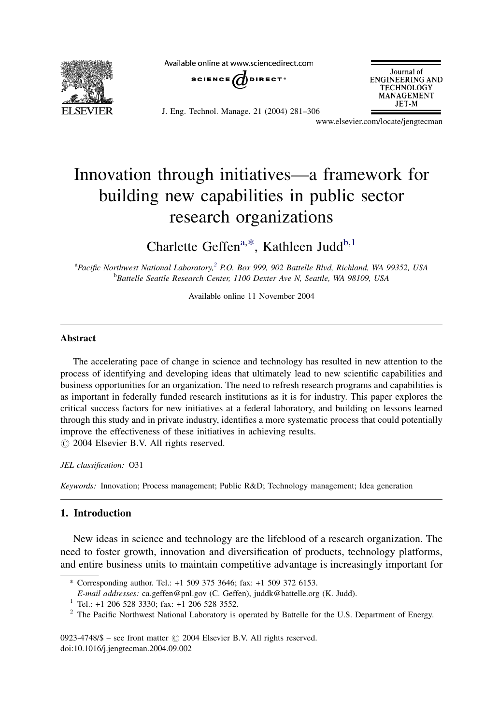

Available online at www.sciencedirect.com



J. Eng. Technol. Manage. 21 (2004) 281–306



www.elsevier.com/locate/jengtecman

# Innovation through initiatives—a framework for building new capabilities in public sector research organizations

Charlette Geffen<sup>a,\*</sup>, Kathleen Judd<sup>b,1</sup>

<sup>a</sup>Pacific Northwest National Laboratory,<sup>2</sup> P.O. Box 999, 902 Battelle Blvd, Richland, WA 99352, USA **bBattelle Seattle Research Center, 1100 Dexter Ave N, Seattle, WA 98109, USA** 

Available online 11 November 2004

### Abstract

The accelerating pace of change in science and technology has resulted in new attention to the process of identifying and developing ideas that ultimately lead to new scientific capabilities and business opportunities for an organization. The need to refresh research programs and capabilities is as important in federally funded research institutions as it is for industry. This paper explores the critical success factors for new initiatives at a federal laboratory, and building on lessons learned through this study and in private industry, identifies a more systematic process that could potentially improve the effectiveness of these initiatives in achieving results.  $\odot$  2004 Elsevier B.V. All rights reserved.

JEL classification: O31

Keywords: Innovation; Process management; Public R&D; Technology management; Idea generation

### 1. Introduction

New ideas in science and technology are the lifeblood of a research organization. The need to foster growth, innovation and diversification of products, technology platforms, and entire business units to maintain competitive advantage is increasingly important for

0923-4748/\$ – see front matter  $\odot$  2004 Elsevier B.V. All rights reserved. doi:10.1016/j.jengtecman.2004.09.002

<sup>\*</sup> Corresponding author. Tel.: +1 509 375 3646; fax: +1 509 372 6153.

<sup>&</sup>lt;sup>1</sup> Tel.: +1 206 528 3330; fax: +1 206 528 3552.<br><sup>2</sup> The Pacific Northwest National Laboratory is operated by Battelle for the U.S. Department of Energy.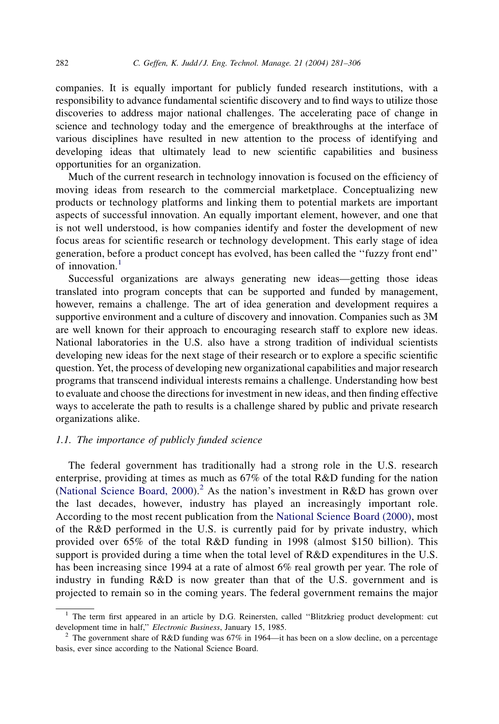companies. It is equally important for publicly funded research institutions, with a responsibility to advance fundamental scientific discovery and to find ways to utilize those discoveries to address major national challenges. The accelerating pace of change in science and technology today and the emergence of breakthroughs at the interface of various disciplines have resulted in new attention to the process of identifying and developing ideas that ultimately lead to new scientific capabilities and business opportunities for an organization.

Much of the current research in technology innovation is focused on the efficiency of moving ideas from research to the commercial marketplace. Conceptualizing new products or technology platforms and linking them to potential markets are important aspects of successful innovation. An equally important element, however, and one that is not well understood, is how companies identify and foster the development of new focus areas for scientific research or technology development. This early stage of idea generation, before a product concept has evolved, has been called the ''fuzzy front end'' of innovation.<sup>1</sup>

Successful organizations are always generating new ideas—getting those ideas translated into program concepts that can be supported and funded by management, however, remains a challenge. The art of idea generation and development requires a supportive environment and a culture of discovery and innovation. Companies such as 3M are well known for their approach to encouraging research staff to explore new ideas. National laboratories in the U.S. also have a strong tradition of individual scientists developing new ideas for the next stage of their research or to explore a specific scientific question. Yet, the process of developing new organizational capabilities and major research programs that transcend individual interests remains a challenge. Understanding how best to evaluate and choose the directions for investment in new ideas, and then finding effective ways to accelerate the path to results is a challenge shared by public and private research organizations alike.

### 1.1. The importance of publicly funded science

The federal government has traditionally had a strong role in the U.S. research enterprise, providing at times as much as 67% of the total R&D funding for the nation ([National Science Board, 2000](#page--1-0)).<sup>2</sup> As the nation's investment in R&D has grown over the last decades, however, industry has played an increasingly important role. According to the most recent publication from the [National Science Board \(2000\)](#page--1-0), most of the R&D performed in the U.S. is currently paid for by private industry, which provided over 65% of the total R&D funding in 1998 (almost \$150 billion). This support is provided during a time when the total level of R&D expenditures in the U.S. has been increasing since 1994 at a rate of almost 6% real growth per year. The role of industry in funding R&D is now greater than that of the U.S. government and is projected to remain so in the coming years. The federal government remains the major

 $<sup>1</sup>$  The term first appeared in an article by D.G. Reinersten, called "Blitzkrieg product development: cut</sup> development time in half,'' Electronic Business, January 15, 1985.

<sup>&</sup>lt;sup>2</sup> The government share of R&D funding was 67% in 1964—it has been on a slow decline, on a percentage basis, ever since according to the National Science Board.